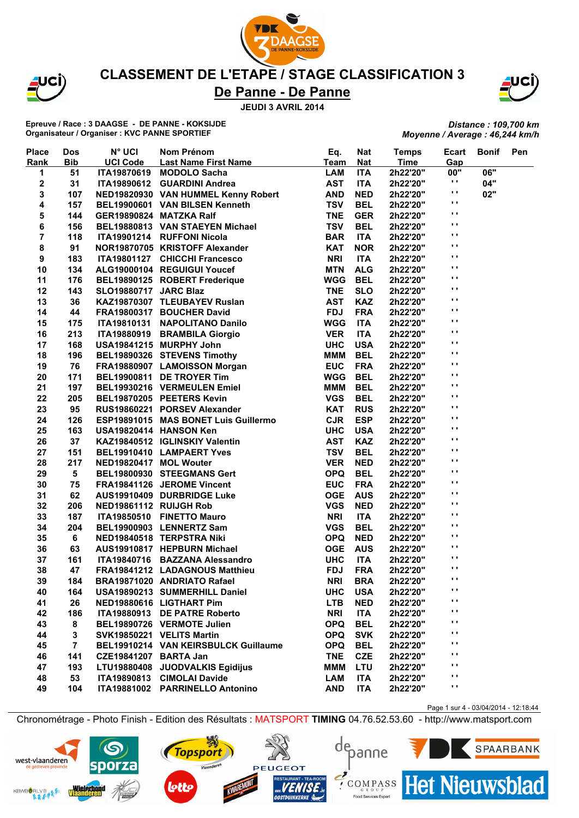

JCI)

### **CLASSEMENT DE L'ETAPE / STAGE CLASSIFICATION 3**

## **De Panne - De Panne**

**JEUDI 3 AVRIL 2014**

**Epreuve / Race : 3 DAAGSE - DE PANNE - KOKSIJDE Organisateur / Organiser : KVC PANNE SPORTIEF**

*Distance : 109,700 km Moyenne / Average : 46,244 km/h*

| <b>Place</b>     | <b>Dos</b>              | <b>N° UCI</b>           | Nom Prénom                           | Eq.        | <b>Nat</b> | <b>Temps</b> | Ecart           | <b>Bonif</b> | Pen |
|------------------|-------------------------|-------------------------|--------------------------------------|------------|------------|--------------|-----------------|--------------|-----|
| Rank             | <b>Bib</b>              | <b>UCI Code</b>         | <b>Last Name First Name</b>          | Team       | <b>Nat</b> | <b>Time</b>  | Gap             |              |     |
| 1                | 51                      | <b>ITA19870619</b>      | <b>MODOLO Sacha</b>                  | <b>LAM</b> | <b>ITA</b> | 2h22'20"     | 00"             | 06"          |     |
| 2                | 31                      |                         | ITA19890612 GUARDINI Andrea          | <b>AST</b> | <b>ITA</b> | 2h22'20"     | н.              | 04"          |     |
| 3                | 107                     |                         | NED19820930 VAN HUMMEL Kenny Robert  | <b>AND</b> | <b>NED</b> | 2h22'20"     | $\blacksquare$  | 02"          |     |
| 4                | 157                     |                         | BEL19900601 VAN BILSEN Kenneth       | <b>TSV</b> | <b>BEL</b> | 2h22'20"     | $\mathbf{r}$    |              |     |
| 5                | 144                     | GER19890824 MATZKA Ralf |                                      | <b>TNE</b> | <b>GER</b> | 2h22'20"     | $\blacksquare$  |              |     |
| 6                | 156                     |                         | BEL19880813 VAN STAEYEN Michael      | <b>TSV</b> | <b>BEL</b> | 2h22'20"     | . .             |              |     |
| 7                | 118                     |                         | ITA19901214 RUFFONI Nicola           | <b>BAR</b> | <b>ITA</b> | 2h22'20"     | $\mathbf{r}$    |              |     |
| 8                | 91                      |                         | NOR19870705 KRISTOFF Alexander       | <b>KAT</b> | <b>NOR</b> | 2h22'20"     | $\blacksquare$  |              |     |
| $\boldsymbol{9}$ | 183                     |                         | ITA19801127 CHICCHI Francesco        | <b>NRI</b> | <b>ITA</b> | 2h22'20"     | $\mathbf{r}$    |              |     |
| 10               | 134                     |                         | ALG19000104 REGUIGUI Youcef          | <b>MTN</b> | <b>ALG</b> | 2h22'20"     | $\mathbf{r}$    |              |     |
| 11               | 176                     |                         | BEL19890125 ROBERT Frederique        | <b>WGG</b> | <b>BEL</b> | 2h22'20"     | $\mathbf{r}$    |              |     |
| 12               | 143                     | SLO19880717 JARC Blaz   |                                      | <b>TNE</b> | <b>SLO</b> | 2h22'20"     | $\bullet$       |              |     |
| 13               | 36                      |                         | KAZ19870307 TLEUBAYEV Ruslan         | <b>AST</b> | <b>KAZ</b> | 2h22'20"     | $\blacksquare$  |              |     |
| 14               | 44                      |                         | FRA19800317 BOUCHER David            | <b>FDJ</b> | <b>FRA</b> | 2h22'20"     | $\mathbf{r}$    |              |     |
| 15               | 175                     |                         | ITA19810131 NAPOLITANO Danilo        | <b>WGG</b> | <b>ITA</b> | 2h22'20"     | $\mathbf{r}$    |              |     |
| 16               | 213                     |                         | ITA19880919 BRAMBILA Giorgio         | <b>VER</b> | <b>ITA</b> | 2h22'20"     | $\mathbf{r}$    |              |     |
| 17               | 168                     |                         | USA19841215 MURPHY John              | <b>UHC</b> | <b>USA</b> | 2h22'20"     | $\mathbf{r}$    |              |     |
| 18               | 196                     |                         | BEL19890326 STEVENS Timothy          | <b>MMM</b> | <b>BEL</b> | 2h22'20"     | $\blacksquare$  |              |     |
| 19               | 76                      |                         | FRA19880907 LAMOISSON Morgan         | <b>EUC</b> | <b>FRA</b> | 2h22'20"     | $\blacksquare$  |              |     |
| 20               | 171                     |                         | BEL19900811 DE TROYER Tim            | <b>WGG</b> | <b>BEL</b> | 2h22'20"     | $\mathbf{r}$    |              |     |
| 21               | 197                     |                         | BEL19930216 VERMEULEN Emiel          | <b>MMM</b> | <b>BEL</b> | 2h22'20"     | $\blacksquare$  |              |     |
| 22               | 205                     |                         | BEL19870205 PEETERS Kevin            | <b>VGS</b> | <b>BEL</b> | 2h22'20"     | $\mathbf{r}$    |              |     |
| 23               | 95                      |                         | RUS19860221 PORSEV Alexander         | <b>KAT</b> | <b>RUS</b> | 2h22'20"     | $\mathbf{r}$    |              |     |
| 24               | 126                     |                         | ESP19891015 MAS BONET Luis Guillermo | <b>CJR</b> | <b>ESP</b> | 2h22'20"     | $\blacksquare$  |              |     |
| 25               | 163                     | USA19820414 HANSON Ken  |                                      | <b>UHC</b> | <b>USA</b> | 2h22'20"     | Ω.              |              |     |
| 26               | 37                      |                         | KAZ19840512 IGLINSKIY Valentin       | <b>AST</b> | <b>KAZ</b> | 2h22'20"     | $\mathbf{r}$    |              |     |
| 27               | 151                     |                         | BEL19910410 LAMPAERT Yves            | <b>TSV</b> | <b>BEL</b> | 2h22'20"     | $\blacksquare$  |              |     |
| 28               | 217                     | NED19820417 MOL Wouter  |                                      | <b>VER</b> | <b>NED</b> | 2h22'20"     | $\mathbf{r}$    |              |     |
| 29               | 5                       |                         | BEL19800930 STEEGMANS Gert           | <b>OPQ</b> | <b>BEL</b> | 2h22'20"     | $\mathbf{r}$    |              |     |
| 30               | 75                      |                         | FRA19841126 JEROME Vincent           | <b>EUC</b> | <b>FRA</b> | 2h22'20"     | $\mathbf{r}$    |              |     |
| 31               | 62                      |                         | AUS19910409 DURBRIDGE Luke           | <b>OGE</b> | <b>AUS</b> | 2h22'20"     | $\blacksquare$  |              |     |
| 32               | 206                     | NED19861112 RUIJGH Rob  |                                      | <b>VGS</b> | <b>NED</b> | 2h22'20"     | $\blacksquare$  |              |     |
| 33               | 187                     |                         | ITA19850510 FINETTO Mauro            | <b>NRI</b> | <b>ITA</b> | 2h22'20"     | $\mathbf{r}$    |              |     |
| 34               | 204                     |                         | BEL19900903 LENNERTZ Sam             | <b>VGS</b> | <b>BEL</b> | 2h22'20"     | $\mathbf{r}$    |              |     |
| 35               | 6                       |                         | NED19840518 TERPSTRA Niki            | <b>OPQ</b> | <b>NED</b> | 2h22'20"     | $\mathbf{r}$    |              |     |
| 36               | 63                      |                         | AUS19910817 HEPBURN Michael          | <b>OGE</b> | <b>AUS</b> | 2h22'20"     | $\mathbf{r}$    |              |     |
| 37               | 161                     |                         | ITA19840716 BAZZANA Alessandro       | <b>UHC</b> | <b>ITA</b> | 2h22'20"     | $\mathbf{r}$    |              |     |
| 38               | 47                      |                         | FRA19841212 LADAGNOUS Matthieu       | <b>FDJ</b> | <b>FRA</b> | 2h22'20"     | $\mathbf{r}$ .  |              |     |
| 39               | 184                     |                         | BRA19871020 ANDRIATO Rafael          | <b>NRI</b> | <b>BRA</b> | 2h22'20"     | $\mathbf{r}$    |              |     |
| 40               | 164                     |                         | USA19890213 SUMMERHILL Daniel        | <b>UHC</b> | <b>USA</b> | 2h22'20"     | $\mathbf{r}$    |              |     |
| 41               | 26                      |                         | NED19880616 LIGTHART Pim             | <b>LTB</b> | <b>NED</b> | 2h22'20"     | $\mathbf{r}$    |              |     |
| 42               | 186                     |                         | ITA19880913 DE PATRE Roberto         | <b>NRI</b> | <b>ITA</b> | 2h22'20"     | $\cdot$ $\cdot$ |              |     |
| 43               | 8                       |                         | BEL19890726 VERMOTE Julien           | <b>OPQ</b> | <b>BEL</b> | 2h22'20"     | $\mathbf{r}$    |              |     |
| 44               | 3                       |                         | SVK19850221 VELITS Martin            | <b>OPQ</b> | <b>SVK</b> | 2h22'20"     | . .             |              |     |
| 45               | $\overline{\mathbf{r}}$ |                         | BEL19910214 VAN KEIRSBULCK Guillaume | <b>OPQ</b> | <b>BEL</b> | 2h22'20"     | $\mathbf{r}$    |              |     |
| 46               | 141                     | CZE19841207 BARTA Jan   |                                      | <b>TNE</b> | <b>CZE</b> | 2h22'20"     | $\mathbf{r}$    |              |     |
| 47               | 193                     |                         | LTU19880408 JUODVALKIS Egidijus      | <b>MMM</b> | <b>LTU</b> | 2h22'20"     | . .             |              |     |
| 48               | 53                      |                         | ITA19890813 CIMOLAI Davide           | <b>LAM</b> | <b>ITA</b> | 2h22'20"     | $\mathbf{r}$    |              |     |
| 49               | 104                     |                         | ITA19881002 PARRINELLO Antonino      | <b>AND</b> | <b>ITA</b> | 2h22'20"     | $\mathbf{r}$    |              |     |
|                  |                         |                         |                                      |            |            |              |                 |              |     |

Chronométrage - Photo Finish - Edition des Résultats : MATSPORT **TIMING** 04.76.52.53.60 - http://www.matsport.com

**PEUGEOT** 









Page 1 sur 4 - 03/04/2014 - 12:18:44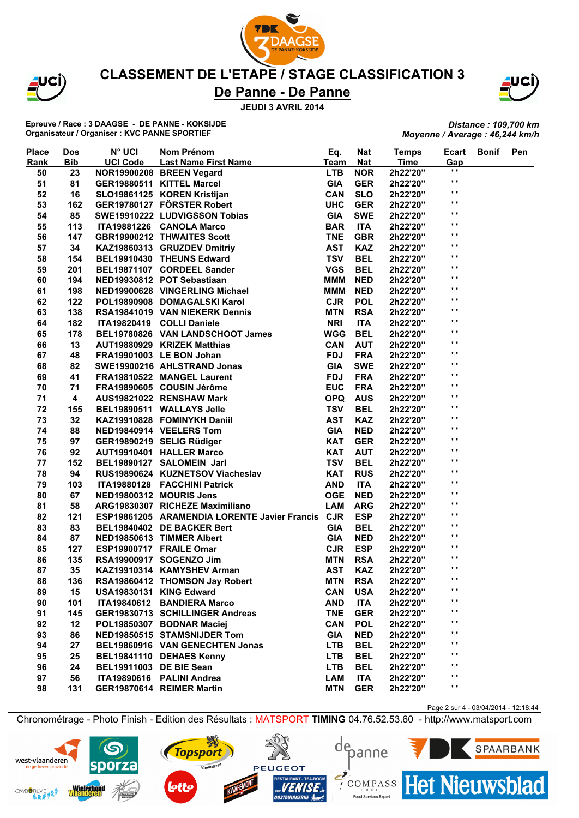

JCÌ)

### **CLASSEMENT DE L'ETAPE / STAGE CLASSIFICATION 3**

## **De Panne - De Panne**

**JEUDI 3 AVRIL 2014**

**Epreuve / Race : 3 DAAGSE - DE PANNE - KOKSIJDE Organisateur / Organiser : KVC PANNE SPORTIEF**

*Distance : 109,700 km Moyenne / Average : 46,244 km/h*

| <b>Place</b> | <b>Dos</b> | <b>N° UCI</b>           | Nom Prénom<br>N° UCI<br>UCI Code Last Name First Name<br>JOR19900208 BREEN Vegard<br>GER19880511 KITTEL Marcel<br>SLO19861125 KOREN Kristijan<br>GER19780127 FÖRSTER Robert<br>SWE19910222 LUDVIGSSON Tobias<br>TA19881226 CANOLA Marco | Eq.         | <b>Nat</b> | <b>Temps</b> | Ecart          | <b>Bonif</b> | Pen |
|--------------|------------|-------------------------|-----------------------------------------------------------------------------------------------------------------------------------------------------------------------------------------------------------------------------------------|-------------|------------|--------------|----------------|--------------|-----|
| <b>Rank</b>  | <b>Bib</b> |                         |                                                                                                                                                                                                                                         | <b>Team</b> | <b>Nat</b> | <b>Time</b>  | Gap            |              |     |
| 50           | 23         |                         |                                                                                                                                                                                                                                         | <b>LTB</b>  | <b>NOR</b> | 2h22'20"     | $\blacksquare$ |              |     |
| 51           | 81         |                         |                                                                                                                                                                                                                                         | <b>GIA</b>  | <b>GER</b> | 2h22'20"     | $\blacksquare$ |              |     |
| 52           | 16         |                         |                                                                                                                                                                                                                                         | <b>CAN</b>  | <b>SLO</b> | 2h22'20"     | $\mathbf{r}$   |              |     |
| 53           | 162        |                         |                                                                                                                                                                                                                                         | <b>UHC</b>  | <b>GER</b> | 2h22'20"     | $\mathbf{r}$   |              |     |
| 54           | 85         |                         |                                                                                                                                                                                                                                         | <b>GIA</b>  | <b>SWE</b> | 2h22'20"     | $\mathbf{r}$   |              |     |
| 55           | 113        |                         |                                                                                                                                                                                                                                         | <b>BAR</b>  | <b>ITA</b> | 2h22'20"     | $\blacksquare$ |              |     |
| 56           | 147        |                         |                                                                                                                                                                                                                                         | <b>TNE</b>  | <b>GBR</b> | 2h22'20"     | $\blacksquare$ |              |     |
| 57           | 34         |                         | KAZ19860313 GRUZDEV Dmitriy                                                                                                                                                                                                             | <b>AST</b>  | <b>KAZ</b> | 2h22'20"     | $\blacksquare$ |              |     |
| 58           | 154        |                         | BEL19910430 THEUNS Edward                                                                                                                                                                                                               | <b>TSV</b>  | <b>BEL</b> | 2h22'20"     | $\blacksquare$ |              |     |
| 59           | 201        |                         | BEL19871107 CORDEEL Sander                                                                                                                                                                                                              | <b>VGS</b>  | <b>BEL</b> | 2h22'20"     | $\mathbf{r}$   |              |     |
| 60           | 194        |                         | NED19930812 POT Sebastiaan                                                                                                                                                                                                              | <b>MMM</b>  | <b>NED</b> | 2h22'20"     | $\mathbf{r}$   |              |     |
| 61           | 198        |                         | NED19900628 VINGERLING Michael                                                                                                                                                                                                          | <b>MMM</b>  | <b>NED</b> | 2h22'20"     | $\mathbf{r}$   |              |     |
| 62           | 122        |                         | POL19890908 DOMAGALSKI Karol                                                                                                                                                                                                            | <b>CJR</b>  | <b>POL</b> | 2h22'20"     | $\mathbf{r}$   |              |     |
| 63           | 138        |                         | RSA19841019 VAN NIEKERK Dennis                                                                                                                                                                                                          | <b>MTN</b>  | <b>RSA</b> | 2h22'20"     | $\mathbf{r}$   |              |     |
| 64           | 182        |                         | ITA19820419 COLLI Daniele                                                                                                                                                                                                               | <b>NRI</b>  | <b>ITA</b> | 2h22'20"     | $\mathbf{r}$   |              |     |
| 65           | 178        |                         | BEL19780826 VAN LANDSCHOOT James                                                                                                                                                                                                        | <b>WGG</b>  | <b>BEL</b> | 2h22'20"     | $\mathbf{r}$   |              |     |
| 66           | 13         |                         |                                                                                                                                                                                                                                         | <b>CAN</b>  | <b>AUT</b> | 2h22'20"     | $\blacksquare$ |              |     |
| 67           | 48         |                         | AUT19880929   KRIZEK Matthias<br>FRA19901003   LE BON Johan<br>SWE19900216   AHLSTRAND Jonas                                                                                                                                            | <b>FDJ</b>  | <b>FRA</b> | 2h22'20"     | $\mathbf{r}$   |              |     |
| 68           | 82         |                         |                                                                                                                                                                                                                                         | <b>GIA</b>  | <b>SWE</b> | 2h22'20"     | $\mathbf{r}$   |              |     |
| 69           | 41         |                         | FRA19810522 MANGEL Laurent                                                                                                                                                                                                              | <b>FDJ</b>  | <b>FRA</b> | 2h22'20"     | $\mathbf{r}$   |              |     |
| 70           | 71         |                         | FRA19890605 COUSIN Jérôme                                                                                                                                                                                                               | <b>EUC</b>  | <b>FRA</b> | 2h22'20"     | $\mathbf{r}$   |              |     |
| 71           | 4          |                         | AUS19821022 RENSHAW Mark                                                                                                                                                                                                                | <b>OPQ</b>  | <b>AUS</b> | 2h22'20"     | $\mathbf{r}$   |              |     |
| 72           | 155        |                         | BEL19890511 WALLAYS Jelle                                                                                                                                                                                                               | <b>TSV</b>  | <b>BEL</b> | 2h22'20"     | $\blacksquare$ |              |     |
| 73           | 32         |                         | KAZ19910828 FOMINYKH Daniil                                                                                                                                                                                                             | <b>AST</b>  | <b>KAZ</b> | 2h22'20"     | $\mathbf{r}$   |              |     |
|              |            |                         | NED19840914 VEELERS Tom                                                                                                                                                                                                                 | <b>GIA</b>  | <b>NED</b> |              | $\mathbf{r}$   |              |     |
| 74           | 88         |                         |                                                                                                                                                                                                                                         | <b>KAT</b>  |            | 2h22'20"     | $\mathbf{r}$   |              |     |
| 75           | 97         |                         | GER19890219 SELIG Rüdiger                                                                                                                                                                                                               |             | <b>GER</b> | 2h22'20"     | $\mathbf{r}$   |              |     |
| 76           | 92         |                         | AUT19910401 HALLER Marco                                                                                                                                                                                                                | <b>KAT</b>  | <b>AUT</b> | 2h22'20"     | $\blacksquare$ |              |     |
| 77           | 152        |                         | BEL19890127 SALOMEIN Jarl                                                                                                                                                                                                               | <b>TSV</b>  | <b>BEL</b> | 2h22'20"     | $\mathbf{r}$   |              |     |
| 78           | 94         |                         | RUS19890624 KUZNETSOV Viacheslav                                                                                                                                                                                                        | <b>KAT</b>  | <b>RUS</b> | 2h22'20"     | $\bullet$      |              |     |
| 79           | 103        |                         | ITA19880128 FACCHINI Patrick                                                                                                                                                                                                            | <b>AND</b>  | <b>ITA</b> | 2h22'20"     | $\mathbf{r}$   |              |     |
| 80           | 67         |                         | NED19800312 MOURIS Jens                                                                                                                                                                                                                 | <b>OGE</b>  | <b>NED</b> | 2h22'20"     | $\mathbf{r}$   |              |     |
| 81           | 58         |                         | ARG19830307 RICHEZE Maximiliano                                                                                                                                                                                                         | LAM         | <b>ARG</b> | 2h22'20"     | $\blacksquare$ |              |     |
| 82           | 121        |                         | ESP19861205 ARAMENDIA LORENTE Javier Francis                                                                                                                                                                                            | <b>CJR</b>  | <b>ESP</b> | 2h22'20"     | $\blacksquare$ |              |     |
| 83           | 83         |                         | BEL19840402 DE BACKER Bert                                                                                                                                                                                                              | <b>GIA</b>  | <b>BEL</b> | 2h22'20"     | $\bullet$      |              |     |
| 84           | 87         |                         | NED19850613 TIMMER Albert                                                                                                                                                                                                               | <b>GIA</b>  | <b>NED</b> | 2h22'20"     | $\blacksquare$ |              |     |
| 85           | 127        |                         | ESP19900717 FRAILE Omar                                                                                                                                                                                                                 | <b>CJR</b>  | <b>ESP</b> | 2h22'20"     |                |              |     |
| 86           | 135        |                         | RSA19900917 SOGENZO Jim                                                                                                                                                                                                                 | <b>MTN</b>  | <b>RSA</b> | 2h22'20"     | $\mathbf{r}$   |              |     |
| 87           | 35         |                         | KAZ19910314 KAMYSHEV Arman                                                                                                                                                                                                              | <b>AST</b>  | <b>KAZ</b> | 2h22'20"     | $\mathbf{r}$   |              |     |
| 88           | 136        |                         | RSA19860412 THOMSON Jay Robert                                                                                                                                                                                                          | <b>MTN</b>  | <b>RSA</b> | 2h22'20"     | $\mathbf{r}$   |              |     |
| 89           | 15         | USA19830131 KING Edward |                                                                                                                                                                                                                                         | <b>CAN</b>  | <b>USA</b> | 2h22'20"     | $\blacksquare$ |              |     |
| 90           | 101        |                         | ITA19840612 BANDIERA Marco                                                                                                                                                                                                              | <b>AND</b>  | <b>ITA</b> | 2h22'20"     | $\blacksquare$ |              |     |
| 91           | 145        |                         | GER19830713 SCHILLINGER Andreas                                                                                                                                                                                                         | <b>TNE</b>  | <b>GER</b> | 2h22'20"     | н.             |              |     |
| 92           | 12         |                         | POL19850307 BODNAR Maciej                                                                                                                                                                                                               | <b>CAN</b>  | <b>POL</b> | 2h22'20"     | .,             |              |     |
| 93           | 86         |                         | NED19850515 STAMSNIJDER Tom                                                                                                                                                                                                             | <b>GIA</b>  | <b>NED</b> | 2h22'20"     | $\mathbf{r}$   |              |     |
| 94           | 27         |                         | BEL19860916 VAN GENECHTEN Jonas                                                                                                                                                                                                         | <b>LTB</b>  | <b>BEL</b> | 2h22'20"     | $\mathbf{r}$   |              |     |
| 95           | 25         |                         | BEL19841110 DEHAES Kenny                                                                                                                                                                                                                | <b>LTB</b>  | <b>BEL</b> | 2h22'20"     | .,             |              |     |
| 96           | 24         | BEL19911003 DE BIE Sean |                                                                                                                                                                                                                                         | <b>LTB</b>  | <b>BEL</b> | 2h22'20"     | $\mathbf{r}$   |              |     |
| 97           | 56         |                         | ITA19890616 PALINI Andrea                                                                                                                                                                                                               | <b>LAM</b>  | <b>ITA</b> | 2h22'20"     | $\mathbf{r}$   |              |     |
| 98           | 131        |                         | GER19870614 REIMER Martin                                                                                                                                                                                                               | <b>MTN</b>  | <b>GER</b> | 2h22'20"     | $\mathbf{r}$   |              |     |
|              |            |                         |                                                                                                                                                                                                                                         |             |            |              |                |              |     |

Page 2 sur 4 - 03/04/2014 - 12:18:44 Chronométrage - Photo Finish - Edition des Résultats : MATSPORT **TIMING** 04.76.52.53.60 - http://www.matsport.com

**PEUGEOT** 

**Topsport** 

Vlaanderen





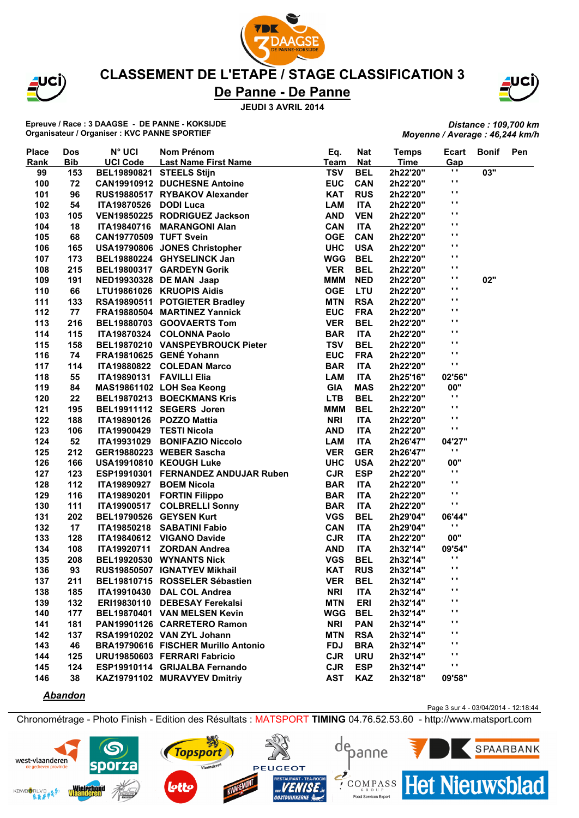

JCÌ)

### **CLASSEMENT DE L'ETAPE / STAGE CLASSIFICATION 3**

## **De Panne - De Panne**

**JEUDI 3 AVRIL 2014**

**Epreuve / Race : 3 DAAGSE - DE PANNE - KOKSIJDE Organisateur / Organiser : KVC PANNE SPORTIEF**

*Distance : 109,700 km Moyenne / Average : 46,244 km/h*

| <b>Place</b> | <b>Dos</b> | <b>N° UCI</b>            | Nom Prénom                          | Eq.        | <b>Nat</b> | <b>Temps</b> | <b>Ecart</b>   | <b>Bonif</b> | Pen |
|--------------|------------|--------------------------|-------------------------------------|------------|------------|--------------|----------------|--------------|-----|
| Rank         | <b>Bib</b> | <b>UCI Code</b>          | <b>Last Name First Name</b>         | Team       | <b>Nat</b> | <b>Time</b>  | Gap            |              |     |
| 99           | 153        | BEL19890821 STEELS Stijn |                                     | <b>TSV</b> | <b>BEL</b> | 2h22'20"     | н.             | 03"          |     |
| 100          | 72         |                          | <b>CAN19910912 DUCHESNE Antoine</b> | <b>EUC</b> | <b>CAN</b> | 2h22'20"     | н.             |              |     |
| 101          | 96         |                          | RUS19880517 RYBAKOV Alexander       | <b>KAT</b> | <b>RUS</b> | 2h22'20"     | $\mathbf{r}$   |              |     |
| 102          | 54         | <b>ITA19870526</b>       | <b>DODI Luca</b>                    | <b>LAM</b> | <b>ITA</b> | 2h22'20"     | $\mathbf{r}$   |              |     |
| 103          | 105        |                          | VEN19850225 RODRIGUEZ Jackson       | <b>AND</b> | <b>VEN</b> | 2h22'20"     | $\blacksquare$ |              |     |
| 104          | 18         |                          | ITA19840716 MARANGONI Alan          | <b>CAN</b> | <b>ITA</b> | 2h22'20"     | $\mathbf{r}$   |              |     |
| 105          | 68         | CAN19770509 TUFT Svein   |                                     | <b>OGE</b> | <b>CAN</b> | 2h22'20"     | $\blacksquare$ |              |     |
| 106          | 165        |                          | USA19790806 JONES Christopher       | <b>UHC</b> | <b>USA</b> | 2h22'20"     | $\blacksquare$ |              |     |
| 107          | 173        |                          | BEL19880224 GHYSELINCK Jan          | <b>WGG</b> | <b>BEL</b> | 2h22'20"     | $\blacksquare$ |              |     |
| 108          | 215        |                          | BEL19800317 GARDEYN Gorik           | <b>VER</b> | <b>BEL</b> | 2h22'20"     | н.             |              |     |
| 109          | 191        |                          | NED19930328 DE MAN Jaap             | <b>MMM</b> | <b>NED</b> | 2h22'20"     | н.             | 02"          |     |
| 110          | 66         |                          | LTU19861026 KRUOPIS Aidis           | <b>OGE</b> | LTU        | 2h22'20"     | $\mathbf{r}$   |              |     |
| 111          | 133        |                          | RSA19890511 POTGIETER Bradley       | <b>MTN</b> | <b>RSA</b> | 2h22'20"     | $\mathbf{r}$   |              |     |
| 112          | 77         |                          | FRA19880504 MARTINEZ Yannick        | <b>EUC</b> | <b>FRA</b> | 2h22'20"     | $\blacksquare$ |              |     |
| 113          | 216        |                          | BEL19880703 GOOVAERTS Tom           | <b>VER</b> | <b>BEL</b> | 2h22'20"     | $\blacksquare$ |              |     |
| 114          | 115        |                          | ITA19870324 COLONNA Paolo           | <b>BAR</b> | <b>ITA</b> | 2h22'20"     | $\blacksquare$ |              |     |
| 115          | 158        |                          | BEL19870210 VANSPEYBROUCK Pieter    | <b>TSV</b> | <b>BEL</b> | 2h22'20"     | $\blacksquare$ |              |     |
| 116          | 74         |                          | FRA19810625 GENÉ Yohann             | <b>EUC</b> | <b>FRA</b> | 2h22'20"     | $\blacksquare$ |              |     |
| 117          | 114        |                          | ITA19880822 COLEDAN Marco           | <b>BAR</b> | <b>ITA</b> | 2h22'20"     | $\blacksquare$ |              |     |
| 118          | 55         | ITA19890131 FAVILLI Elia |                                     | <b>LAM</b> | <b>ITA</b> | 2h25'16"     | 02'56"         |              |     |
| 119          | 84         |                          | MAS19861102 LOH Sea Keong           | <b>GIA</b> | <b>MAS</b> | 2h22'20"     | 00"            |              |     |
| 120          | 22         |                          | BEL19870213 BOECKMANS Kris          | <b>LTB</b> | <b>BEL</b> | 2h22'20"     | $\blacksquare$ |              |     |
| 121          | 195        |                          | BEL19911112 SEGERS Joren            | <b>MMM</b> | <b>BEL</b> | 2h22'20"     | $\blacksquare$ |              |     |
| 122          | 188        |                          | ITA19890126 POZZO Mattia            | <b>NRI</b> | <b>ITA</b> | 2h22'20"     | $\blacksquare$ |              |     |
| 123          | 106        | ITA19900429 TESTI Nicola |                                     | <b>AND</b> | <b>ITA</b> | 2h22'20"     | $\blacksquare$ |              |     |
| 124          | 52         | ITA19931029              | <b>BONIFAZIO Niccolo</b>            | <b>LAM</b> | <b>ITA</b> | 2h26'47"     | 04'27"         |              |     |
| 125          | 212        |                          | GER19880223 WEBER Sascha            | <b>VER</b> | <b>GER</b> | 2h26'47"     | $\blacksquare$ |              |     |
| 126          | 166        |                          | USA19910810 KEOUGH Luke             | <b>UHC</b> | <b>USA</b> | 2h22'20"     | 00"            |              |     |
| 127          | 123        |                          | ESP19910301 FERNANDEZ ANDUJAR Ruben | <b>CJR</b> | <b>ESP</b> | 2h22'20"     | $\mathbf{r}$   |              |     |
| 128          | 112        | ITA19890927              | <b>BOEM Nicola</b>                  | <b>BAR</b> | <b>ITA</b> | 2h22'20"     | $\blacksquare$ |              |     |
| 129          | 116        | ITA19890201              | <b>FORTIN Filippo</b>               | <b>BAR</b> | <b>ITA</b> | 2h22'20"     | $\blacksquare$ |              |     |
| 130          | 111        | <b>ITA19900517</b>       | <b>COLBRELLI Sonny</b>              | <b>BAR</b> | <b>ITA</b> | 2h22'20"     | $\blacksquare$ |              |     |
| 131          | 202        |                          | BEL19790526 GEYSEN Kurt             | <b>VGS</b> | <b>BEL</b> | 2h29'04"     | 06'44"         |              |     |
| 132          | 17         | <b>ITA19850218</b>       | <b>SABATINI Fabio</b>               | <b>CAN</b> | <b>ITA</b> | 2h29'04"     | $\mathbf{r}$   |              |     |
| 133          | 128        | ITA19840612              | <b>VIGANO Davide</b>                | <b>CJR</b> | <b>ITA</b> | 2h22'20"     | 00"            |              |     |
| 134          | 108        | <b>ITA19920711</b>       | <b>ZORDAN Andrea</b>                | <b>AND</b> | <b>ITA</b> | 2h32'14"     | 09'54"         |              |     |
| 135          | 208        |                          | BEL19920530 WYNANTS Nick            | <b>VGS</b> | <b>BEL</b> | 2h32'14"     | $\blacksquare$ |              |     |
| 136          | 93         |                          | RUS19850507 IGNATYEV Mikhail        | <b>KAT</b> | <b>RUS</b> | 2h32'14"     | $\mathbf{r}$   |              |     |
| 137          | 211        |                          | BEL19810715 ROSSELER Sébastien      | <b>VER</b> | <b>BEL</b> | 2h32'14"     | .,             |              |     |
| 138          | 185        |                          | ITA19910430 DAL COL Andrea          | <b>NRI</b> | <b>ITA</b> | 2h32'14"     | $\blacksquare$ |              |     |
| 139          | 132        |                          | ERI19830110 DEBESAY Ferekalsi       | <b>MTN</b> | <b>ERI</b> | 2h32'14"     | $\cdot$        |              |     |
| 140          | 177        |                          | BEL19870401 VAN MELSEN Kevin        | <b>WGG</b> | <b>BEL</b> | 2h32'14"     | $\mathbf{r}$   |              |     |
| 141          | 181        |                          | PAN19901126 CARRETERO Ramon         | <b>NRI</b> | <b>PAN</b> | 2h32'14"     | $\mathbf{r}$   |              |     |
| 142          | 137        |                          | RSA19910202 VAN ZYL Johann          | <b>MTN</b> | <b>RSA</b> | 2h32'14"     | $\mathbf{r}$   |              |     |
| 143          | 46         |                          | BRA19790616 FISCHER Murillo Antonio | <b>FDJ</b> | <b>BRA</b> | 2h32'14"     | $\mathbf{r}$   |              |     |
| 144          | 125        |                          | URU19850603 FERRARI Fabricio        | <b>CJR</b> | <b>URU</b> | 2h32'14"     | $\mathbf{r}$   |              |     |
| 145          | 124        |                          | ESP19910114 GRIJALBA Fernando       | <b>CJR</b> | <b>ESP</b> | 2h32'14"     | $\cdot$        |              |     |
| 146          | 38         |                          | KAZ19791102 MURAVYEV Dmitriy        | <b>AST</b> | <b>KAZ</b> | 2h32'18"     | 09'58"         |              |     |

#### *Abandon*

Page 3 sur 4 - 03/04/2014 - 12:18:44

Chronométrage - Photo Finish - Edition des Résultats : MATSPORT **TIMING** 04.76.52.53.60 - http://www.matsport.com

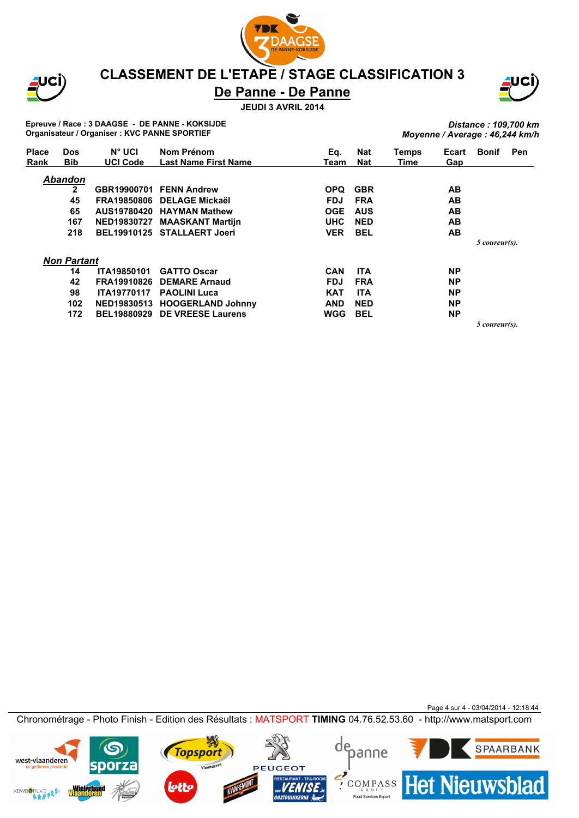

JCI)

### **CLASSEMENT DE L'ETAPE / STAGE CLASSIFICATION 3**

## **De Panne - De Panne**

**JEUDI 3 AVRIL 2014**



**Epreuve / Race : 3 DAAGSE - DE PANNE - KOKSIJDE Organisateur / Organiser : KVC PANNE SPORTIEF**

*Distance : 109,700 km Moyenne / Average : 46,244 km/h*

| <b>Place</b> | <b>Dos</b>         | N° UCI             | Nom Prénom                  | Eq.        | <b>Nat</b> | Temps | Ecart     | <b>Bonif</b>  | <b>Pen</b> |
|--------------|--------------------|--------------------|-----------------------------|------------|------------|-------|-----------|---------------|------------|
| Rank         | <b>Bib</b>         | <b>UCI Code</b>    | <b>Last Name First Name</b> | Team       | <b>Nat</b> | Time  | Gap       |               |            |
|              | <b>Abandon</b>     |                    |                             |            |            |       |           |               |            |
|              | $\mathbf{2}$       |                    | GBR19900701 FENN Andrew     | <b>OPQ</b> | <b>GBR</b> |       | AВ        |               |            |
|              | 45                 | <b>FRA19850806</b> | <b>DELAGE Mickaël</b>       | <b>FDJ</b> | <b>FRA</b> |       | AВ        |               |            |
|              | 65                 |                    | AUS19780420 HAYMAN Mathew   | <b>OGE</b> | <b>AUS</b> |       | AB        |               |            |
|              | 167                | NED19830727        | <b>MAASKANT Martijn</b>     | <b>UHC</b> | <b>NED</b> |       | AB        |               |            |
|              | 218                |                    | BEL19910125 STALLAERT Joeri | <b>VER</b> | <b>BEL</b> |       | AB        |               |            |
|              |                    |                    |                             |            |            |       |           | 5 coureur(s). |            |
|              | <b>Non Partant</b> |                    |                             |            |            |       |           |               |            |
|              | 14                 | <b>ITA19850101</b> | <b>GATTO Oscar</b>          | <b>CAN</b> | <b>ITA</b> |       | <b>NP</b> |               |            |
|              | 42                 | FRA19910826        | <b>DEMARE Arnaud</b>        | <b>FDJ</b> | <b>FRA</b> |       | <b>NP</b> |               |            |
|              | 98                 | <b>ITA19770117</b> | <b>PAOLINI Luca</b>         | <b>KAT</b> | <b>ITA</b> |       | <b>NP</b> |               |            |
|              | 102                | <b>NED19830513</b> | <b>HOOGERLAND Johnny</b>    | <b>AND</b> | <b>NED</b> |       | <b>NP</b> |               |            |
|              | 172                | <b>BEL19880929</b> | <b>DE VREESE Laurens</b>    | <b>WGG</b> | <b>BEL</b> |       | <b>NP</b> |               |            |
|              |                    |                    |                             |            |            |       |           | 5 coureur(s). |            |

Page 4 sur 4 - 03/04/2014 - 12:18:44 Chronométrage - Photo Finish - Edition des Résultats : MATSPORT **TIMING** 04.76.52.53.60 - http://www.matsport.com

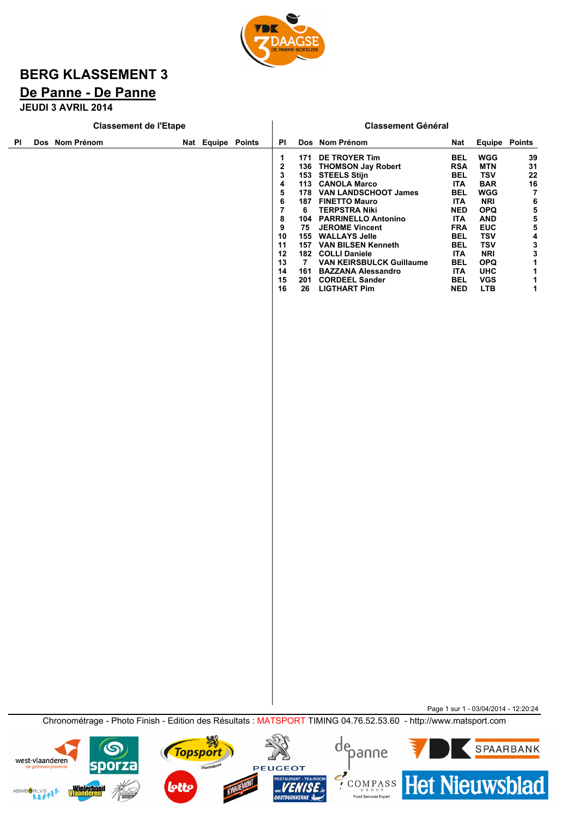

# **BERG KLASSEMENT 3**

## **De Panne - De Panne**

**JEUDI 3 AVRIL 2014**

west-vlaanderen

**KBWBORLVB<sub>O</sub>S** 

**sporza** 

**Wielerbond<br>Vlaanderen** 

Vlaanderen

lott

PEUGEOT

URANT - TEA-ROOM<br>**ENISE**.be<br>DUINKERKE

| <b>Classement de l'Etape</b> |                 |                |  |  |          | <b>Classement Général</b> |                                                                                                                        |                     |                                                                                                                                                                                                                                                                                                                                                                                 |  |                                                                                                                                                                                                                       |                                                                                                                                                                                                                              |                                                                                                                                                             |  |
|------------------------------|-----------------|----------------|--|--|----------|---------------------------|------------------------------------------------------------------------------------------------------------------------|---------------------|---------------------------------------------------------------------------------------------------------------------------------------------------------------------------------------------------------------------------------------------------------------------------------------------------------------------------------------------------------------------------------|--|-----------------------------------------------------------------------------------------------------------------------------------------------------------------------------------------------------------------------|------------------------------------------------------------------------------------------------------------------------------------------------------------------------------------------------------------------------------|-------------------------------------------------------------------------------------------------------------------------------------------------------------|--|
| ΡI                           |                 | Dos Nom Prénom |  |  |          | Nat Equipe Points         | PI                                                                                                                     |                     | Dos Nom Prénom                                                                                                                                                                                                                                                                                                                                                                  |  | <b>Nat</b>                                                                                                                                                                                                            | <b>Equipe Points</b>                                                                                                                                                                                                         |                                                                                                                                                             |  |
|                              |                 |                |  |  |          |                           | 1<br>$\overline{\mathbf{c}}$<br>3<br>4<br>5<br>6<br>$\overline{7}$<br>8<br>9<br>10<br>11<br>12<br>13<br>14<br>15<br>16 | 6<br>7 <sup>7</sup> | 171 DE TROYER Tim<br>136 THOMSON Jay Robert<br>153 STEELS Stijn<br>113 CANOLA Marco<br>178 VAN LANDSCHOOT James<br>187 FINETTO Mauro<br><b>TERPSTRA Niki</b><br>104 PARRINELLO Antonino<br>75 JEROME Vincent<br>155 WALLAYS Jelle<br>157 VAN BILSEN Kenneth<br>182 COLLI Daniele<br>VAN KEIRSBULCK Guillaume<br>161 BAZZANA Alessandro<br>201 CORDEEL Sander<br>26 LIGTHART Pim |  | <b>BEL</b><br><b>RSA</b><br><b>BEL</b><br><b>ITA</b><br>BEL<br><b>ITA</b><br><b>NED</b><br><b>ITA</b><br><b>FRA</b><br><b>BEL</b><br><b>BEL</b><br><b>ITA</b><br><b>BEL</b><br><b>ITA</b><br><b>BEL</b><br><b>NED</b> | <b>WGG</b><br><b>MTN</b><br><b>TSV</b><br><b>BAR</b><br><b>WGG</b><br><b>NRI</b><br><b>OPQ</b><br><b>AND</b><br><b>EUC</b><br><b>TSV</b><br><b>TSV</b><br><b>NRI</b><br><b>OPQ</b><br><b>UHC</b><br><b>VGS</b><br><b>LTB</b> | 39<br>31<br>22<br>16<br>$\overline{7}$<br>6<br>$\begin{array}{c} 5 \\ 5 \\ 5 \end{array}$<br>4<br>$\begin{array}{c} 3 \\ 3 \\ 1 \end{array}$<br>1<br>1<br>1 |  |
|                              |                 |                |  |  |          |                           |                                                                                                                        |                     |                                                                                                                                                                                                                                                                                                                                                                                 |  |                                                                                                                                                                                                                       |                                                                                                                                                                                                                              |                                                                                                                                                             |  |
|                              |                 |                |  |  |          |                           |                                                                                                                        |                     |                                                                                                                                                                                                                                                                                                                                                                                 |  |                                                                                                                                                                                                                       |                                                                                                                                                                                                                              |                                                                                                                                                             |  |
|                              |                 |                |  |  |          |                           |                                                                                                                        |                     |                                                                                                                                                                                                                                                                                                                                                                                 |  |                                                                                                                                                                                                                       |                                                                                                                                                                                                                              |                                                                                                                                                             |  |
|                              |                 |                |  |  |          |                           |                                                                                                                        |                     |                                                                                                                                                                                                                                                                                                                                                                                 |  |                                                                                                                                                                                                                       |                                                                                                                                                                                                                              |                                                                                                                                                             |  |
|                              |                 |                |  |  |          |                           |                                                                                                                        |                     |                                                                                                                                                                                                                                                                                                                                                                                 |  |                                                                                                                                                                                                                       |                                                                                                                                                                                                                              |                                                                                                                                                             |  |
|                              |                 |                |  |  |          |                           |                                                                                                                        |                     |                                                                                                                                                                                                                                                                                                                                                                                 |  |                                                                                                                                                                                                                       |                                                                                                                                                                                                                              |                                                                                                                                                             |  |
|                              |                 |                |  |  |          |                           |                                                                                                                        |                     |                                                                                                                                                                                                                                                                                                                                                                                 |  |                                                                                                                                                                                                                       |                                                                                                                                                                                                                              |                                                                                                                                                             |  |
|                              |                 |                |  |  |          |                           |                                                                                                                        |                     |                                                                                                                                                                                                                                                                                                                                                                                 |  |                                                                                                                                                                                                                       |                                                                                                                                                                                                                              |                                                                                                                                                             |  |
|                              |                 |                |  |  |          |                           |                                                                                                                        |                     |                                                                                                                                                                                                                                                                                                                                                                                 |  |                                                                                                                                                                                                                       | Page 1 sur 1 - 03/04/2014 - 12:20:24                                                                                                                                                                                         |                                                                                                                                                             |  |
|                              |                 |                |  |  |          |                           |                                                                                                                        |                     | Chronométrage - Photo Finish - Edition des Résultats : MATSPORT TIMING 04.76.52.53.60 - http://www.matsport.com                                                                                                                                                                                                                                                                 |  |                                                                                                                                                                                                                       |                                                                                                                                                                                                                              |                                                                                                                                                             |  |
|                              | west-vlaanderen |                |  |  | Topsport |                           |                                                                                                                        |                     | depanne                                                                                                                                                                                                                                                                                                                                                                         |  |                                                                                                                                                                                                                       |                                                                                                                                                                                                                              | SPAARBANK                                                                                                                                                   |  |

**ECOMPASS Het Nieuwsblad**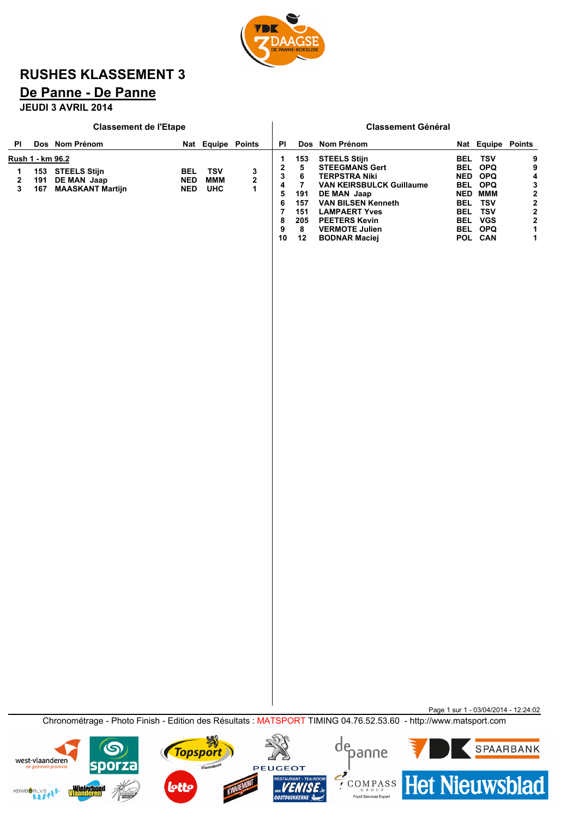

## **RUSHES KLASSEMENT 3**

## **De Panne - De Panne**

**JEUDI 3 AVRIL 2014**

|             |                                | <b>Classement de l'Etape</b>                               |                                 |                                 |                        | <b>Classement Général</b>                       |                                                           |                                                                                                                                                                                                                                                      |                                                      |                                                                                                          |                                     |  |
|-------------|--------------------------------|------------------------------------------------------------|---------------------------------|---------------------------------|------------------------|-------------------------------------------------|-----------------------------------------------------------|------------------------------------------------------------------------------------------------------------------------------------------------------------------------------------------------------------------------------------------------------|------------------------------------------------------|----------------------------------------------------------------------------------------------------------|-------------------------------------|--|
| PI          |                                | Dos Nom Prénom                                             |                                 | Nat Equipe Points               |                        | <b>PI</b>                                       |                                                           | Dos Nom Prénom                                                                                                                                                                                                                                       |                                                      | Nat Equipe Points                                                                                        |                                     |  |
| 1<br>2<br>3 | Rush 1 - km 96.2<br>191<br>167 | 153 STEELS Stijn<br>DE MAN Jaap<br><b>MAASKANT Martijn</b> | BEL<br><b>NED</b><br><b>NED</b> | <b>TSV</b><br>MMM<br><b>UHC</b> | 3<br>2<br>$\mathbf{1}$ | 1<br>2<br>3<br>4<br>5<br>6<br>7<br>8<br>9<br>10 | 153<br>5<br>6<br>7<br>191<br>157<br>151<br>205<br>8<br>12 | <b>STEELS Stijn</b><br><b>STEEGMANS Gert</b><br><b>TERPSTRA Niki</b><br><b>VAN KEIRSBULCK Guillaume</b><br>DE MAN Jaap<br><b>VAN BILSEN Kenneth</b><br><b>LAMPAERT Yves</b><br><b>PEETERS Kevin</b><br><b>VERMOTE Julien</b><br><b>BODNAR Maciej</b> | <b>BEL</b><br><b>BEL</b><br><b>BEL</b><br><b>BEL</b> | TSV<br><b>OPQ</b><br>NED OPQ<br>BEL OPQ<br><b>NED MMM</b><br>TSV<br>TSV<br>BEL VGS<br>BEL OPQ<br>POL CAN | 9<br>9<br>4<br>$3222$<br>$221$<br>1 |  |
|             |                                |                                                            |                                 |                                 |                        |                                                 |                                                           |                                                                                                                                                                                                                                                      |                                                      |                                                                                                          |                                     |  |
|             |                                |                                                            |                                 |                                 |                        |                                                 |                                                           |                                                                                                                                                                                                                                                      |                                                      |                                                                                                          |                                     |  |
|             |                                |                                                            |                                 |                                 |                        |                                                 |                                                           |                                                                                                                                                                                                                                                      |                                                      |                                                                                                          |                                     |  |

Chronométrage - Photo Finish - Edition des Résultats : MATSPORT TIMING 04.76.52.53.60 - http://www.matsport.com

Page 1 sur 1 - 03/04/2014 - 12:24:02

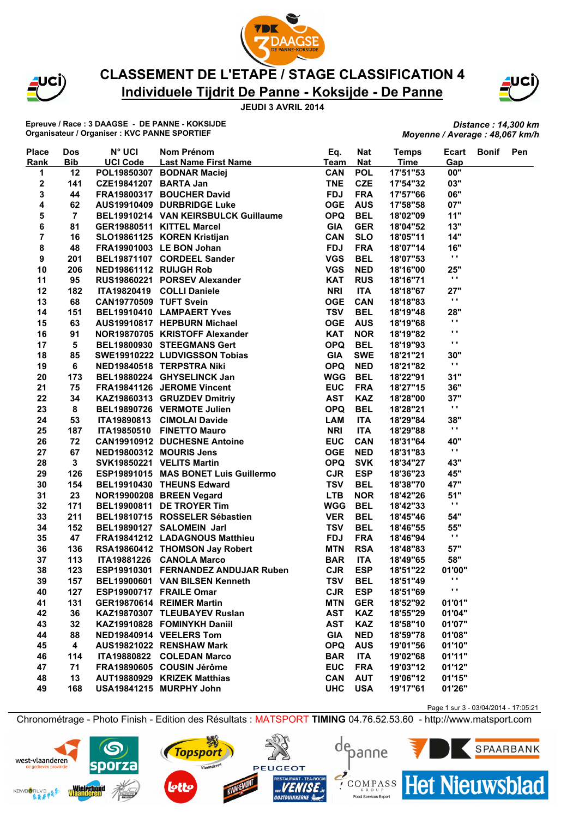



## **Individuele Tijdrit De Panne - Koksijde - De Panne CLASSEMENT DE L'ETAPE / STAGE CLASSIFICATION 4**



**Epreuve / Race : 3 DAAGSE - DE PANNE - KOKSIJDE Organisateur / Organiser : KVC PANNE SPORTIEF**

#### *Distance : 14,300 km Moyenne / Average : 48,067 km/h*

| <b>Place</b> | Dos                     | $N^{\circ}$ UCI         | Nom Prénom                                                                                                                                                                                                                                    | Eq.        | <b>Nat</b>               | <b>Temps</b> | Ecart          | Bonif | Pen |
|--------------|-------------------------|-------------------------|-----------------------------------------------------------------------------------------------------------------------------------------------------------------------------------------------------------------------------------------------|------------|--------------------------|--------------|----------------|-------|-----|
| Rank         | <b>Bib</b>              | <b>UCI Code</b>         | Last Name First Name                                                                                                                                                                                                                          | Team       | <b>Nat</b>               | <b>Time</b>  | Gap            |       |     |
| 1            | 12                      |                         | POL19850307 BODNAR Maciej                                                                                                                                                                                                                     | <b>CAN</b> | <b>POL</b>               | 17'51"53     | 00"            |       |     |
| 2            | 141                     | CZE19841207 BARTA Jan   |                                                                                                                                                                                                                                               | <b>TNE</b> | <b>CZE</b>               | 17'54"32     | 03"            |       |     |
| 3            | 44                      |                         | FRA19800317 BOUCHER David                                                                                                                                                                                                                     | <b>FDJ</b> | <b>FRA</b>               | 17'57"66     | 06"            |       |     |
| 4            | 62                      |                         | AUS19910409 DURBRIDGE Luke                                                                                                                                                                                                                    | <b>OGE</b> | <b>AUS</b>               | 17'58"58     | 07"            |       |     |
| 5            | $\overline{7}$          |                         | BEL19910214 VAN KEIRSBULCK Guillaume                                                                                                                                                                                                          | <b>OPQ</b> | <b>BEL</b>               | 18'02"09     | 11"            |       |     |
| 6            | 81                      |                         |                                                                                                                                                                                                                                               | <b>GIA</b> | <b>GER</b>               | 18'04"52     | 13"            |       |     |
| 7            | 16                      |                         |                                                                                                                                                                                                                                               | <b>CAN</b> | <b>SLO</b>               | 18'05"11     | 14"            |       |     |
| 8            | 48                      |                         |                                                                                                                                                                                                                                               | <b>FDJ</b> | <b>FRA</b>               | 18'07"14     | 16"            |       |     |
| 9            | 201                     |                         |                                                                                                                                                                                                                                               | <b>VGS</b> | <b>BEL</b>               | 18'07"53     | $\mathbf{r}$   |       |     |
| 10           | 206                     |                         |                                                                                                                                                                                                                                               | <b>VGS</b> | <b>NED</b>               | 18'16"00     | 25"            |       |     |
| 11           | 95                      |                         | SLU19861125 KOREN Kristijan<br>FRA19901003 LE BON Johan<br>BEL19871107 CORDEEL Sander<br>NED19861112 RUIJGH Rob<br>RUS19860221 PORSEV Alexander<br>ITA19900115                                                                                | <b>KAT</b> | <b>RUS</b>               | 18'16"71     | $\mathbf{r}$   |       |     |
| 12           | 182                     |                         | ITA19820419 COLLI Daniele                                                                                                                                                                                                                     | <b>NRI</b> | <b>ITA</b>               | 18'18"67     | 27"            |       |     |
| 13           | 68                      | CAN19770509 TUFT Svein  |                                                                                                                                                                                                                                               | <b>OGE</b> | <b>CAN</b>               | 18'18"83     | $\mathbf{r}$ . |       |     |
| 14           | 151                     |                         | BEL19910410 LAMPAERT Yves                                                                                                                                                                                                                     | <b>TSV</b> | <b>BEL</b>               | 18'19"48     | 28"            |       |     |
| 15           | 63                      |                         | AUS19910817 HEPBURN Michael                                                                                                                                                                                                                   | <b>OGE</b> | <b>AUS</b>               | 18'19"68     | $\mathbf{r}$   |       |     |
| 16           | 91                      |                         | NOR19870705 KRISTOFF Alexander                                                                                                                                                                                                                | <b>KAT</b> | <b>NOR</b>               | 18'19"82     | $\blacksquare$ |       |     |
| 17           | 5                       |                         | BEL19800930 STEEGMANS Gert                                                                                                                                                                                                                    | <b>OPQ</b> | <b>BEL</b>               | 18'19"93     | $\mathbf{r}$ . |       |     |
| 18           | 85                      |                         | SWE19910222 LUDVIGSSON Tobias                                                                                                                                                                                                                 | <b>GIA</b> | <b>SWE</b>               | 18'21"21     | 30"            |       |     |
| 19           | 6                       |                         |                                                                                                                                                                                                                                               | <b>OPQ</b> | <b>NED</b>               | 18'21"82     | $\mathbf{r}$   |       |     |
| 20           | 173                     |                         | NED19840518 TERPSTRA Niki<br>BEL19880224 GHYSELINCK Jan<br>FRA19841126 JEROME Vincent<br>KAZ19860313 GRUZDEV Dmitriy<br>BEL19890726 VERMOTE Julien<br>ITA19890813 CIMOLAI Davide<br>ITA19850510 FINETTO Mauro<br>CAN19910912 DUCHESNE Antoine | <b>WGG</b> | <b>BEL</b>               | 18'22"91     | 31"            |       |     |
| 21           | 75                      |                         |                                                                                                                                                                                                                                               | <b>EUC</b> | <b>FRA</b>               | 18'27"15     | 36"            |       |     |
| 22           | 34                      |                         |                                                                                                                                                                                                                                               | <b>AST</b> | <b>KAZ</b>               | 18'28"00     | 37"            |       |     |
| 23           | 8                       |                         |                                                                                                                                                                                                                                               | <b>OPQ</b> | <b>BEL</b>               | 18'28"21     | $\mathbf{r}$   |       |     |
| 24           | 53                      |                         |                                                                                                                                                                                                                                               | LAM        | <b>ITA</b>               | 18'29"84     | 38"            |       |     |
| 25           | 187                     |                         |                                                                                                                                                                                                                                               | <b>NRI</b> | <b>ITA</b>               | 18'29"88     | $\mathbf{r}$ . |       |     |
| 26           | 72                      |                         |                                                                                                                                                                                                                                               | <b>EUC</b> | <b>CAN</b>               | 18'31"64     | 40"            |       |     |
| 27           | 67                      |                         | <b>CAN19910912 DUCHESNE Antoine<br/>NED19800312 MOURIS Jens<br/>SVK19850221 VELITS Martin</b>                                                                                                                                                 | <b>OGE</b> | <b>NED</b>               | 18'31"83     | $\mathbf{r}$ . |       |     |
| 28           | 3 <sup>1</sup>          |                         | SVK19850221 VELITS Martin                                                                                                                                                                                                                     | <b>OPQ</b> | <b>SVK</b>               | 18'34"27     | 43"            |       |     |
| 29           | 126                     |                         | ESP19891015 MAS BONET Luis Guillermo                                                                                                                                                                                                          | <b>CJR</b> | <b>ESP</b>               | 18'36"23     | 45"            |       |     |
| 30           | 154                     |                         | BEL19910430 THEUNS Edward                                                                                                                                                                                                                     | <b>TSV</b> | <b>BEL</b>               | 18'38"70     | 47"            |       |     |
| 31           | 23                      |                         | NOR19900208 BREEN Vegard                                                                                                                                                                                                                      | <b>LTB</b> | <b>NOR</b>               | 18'42"26     | 51"            |       |     |
| 32           | 171                     |                         |                                                                                                                                                                                                                                               | <b>WGG</b> | <b>BEL</b>               | 18'42"33     | $\mathbf{r}$   |       |     |
| 33           | 211                     |                         | BEL19900811 DE TROYER Tim<br>BEL19810715 ROSSELER Sébastien<br>BEL19890127 SALOMEIN Jarl                                                                                                                                                      | <b>VER</b> | <b>BEL</b>               | 18'45"46     | 54"            |       |     |
| 34           | 152                     |                         |                                                                                                                                                                                                                                               | <b>TSV</b> | <b>BEL</b>               | 18'46"55     | 55"            |       |     |
| 35           | 47                      |                         | FRA19841212 LADAGNOUS Matthieu                                                                                                                                                                                                                | <b>FDJ</b> | <b>FRA</b>               | 18'46"94     | $\mathbf{r}$   |       |     |
| 36           | 136                     |                         | RSA19860412 THOMSON Jay Robert                                                                                                                                                                                                                | <b>MTN</b> | <b>RSA</b>               | 18'48"83     | 57"            |       |     |
| 37           | 113                     |                         | ITA19881226 CANOLA Marco                                                                                                                                                                                                                      | <b>BAR</b> | <b>ITA</b>               | 18'49"65     | 58"            |       |     |
| 38           | 123                     |                         | ESP19910301 FERNANDEZ ANDUJAR Ruben                                                                                                                                                                                                           | <b>CJR</b> | <b>ESP</b>               | 18'51"22     | 01'00"         |       |     |
| 39           | 157                     |                         | BEL19900601 VAN BILSEN Kenneth                                                                                                                                                                                                                | TSV BEL    |                          | 18'51"49     | $\cdots$       |       |     |
| 40           | 127                     | ESP19900717 FRAILE Omar |                                                                                                                                                                                                                                               | <b>CJR</b> | <b>ESP</b>               | 18'51"69     | $\mathbf{r}$   |       |     |
| 41           | 131                     |                         | GER19870614 REIMER Martin                                                                                                                                                                                                                     | <b>MTN</b> | <b>GER</b>               | 18'52"92     | 01'01"         |       |     |
| 42           | 36                      |                         | KAZ19870307 TLEUBAYEV Ruslan                                                                                                                                                                                                                  | <b>AST</b> | <b>KAZ</b>               | 18'55"29     | 01'04"         |       |     |
| 43           | 32                      |                         | KAZ19910828 FOMINYKH Daniil                                                                                                                                                                                                                   | <b>AST</b> | <b>KAZ</b>               | 18'58"10     | 01'07"         |       |     |
|              | 88                      |                         |                                                                                                                                                                                                                                               | <b>GIA</b> |                          | 18'59"78     |                |       |     |
| 44           | $\overline{\mathbf{4}}$ |                         | NED19840914 VEELERS Tom<br>AUS19821022 RENSHAW Mark                                                                                                                                                                                           |            | <b>NED</b><br><b>AUS</b> |              | 01'08"         |       |     |
| 45           |                         |                         |                                                                                                                                                                                                                                               | <b>OPQ</b> |                          | 19'01"56     | 01'10"         |       |     |
| 46           | 114                     |                         | ITA19880822 COLEDAN Marco                                                                                                                                                                                                                     | <b>BAR</b> | <b>ITA</b>               | 19'02"68     | 01'11"         |       |     |
| 47           | 71                      |                         | FRA19890605 COUSIN Jérôme                                                                                                                                                                                                                     | <b>EUC</b> | <b>FRA</b>               | 19'03"12     | 01'12"         |       |     |
| 48           | 13                      |                         | AUT19880929 KRIZEK Matthias                                                                                                                                                                                                                   | CAN        | <b>AUT</b>               | 19'06"12     | 01'15"         |       |     |
| 49           | 168                     |                         | USA19841215 MURPHY John                                                                                                                                                                                                                       | <b>UHC</b> | <b>USA</b>               | 19'17"61     | 01'26"         |       |     |

Page 1 sur 3 - 03/04/2014 - 17:05:21

Chronométrage - Photo Finish - Edition des Résultats : MATSPORT **TIMING** 04.76.52.53.60 - http://www.matsport.com

**PEUGEOT** 







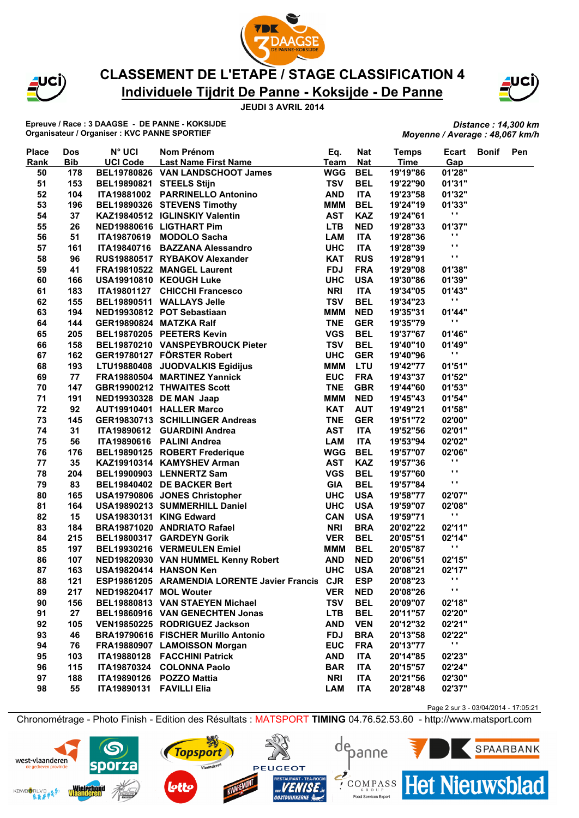



## **Individuele Tijdrit De Panne - Koksijde - De Panne CLASSEMENT DE L'ETAPE / STAGE CLASSIFICATION 4**



**Epreuve / Race : 3 DAAGSE - DE PANNE - KOKSIJDE Organisateur / Organiser : KVC PANNE SPORTIEF**

*Distance : 14,300 km Moyenne / Average : 48,067 km/h*

Page 2 sur 3 - 03/04/2014 - 17:05:21

**Het Nieuwsblad** 

SPAARBANK

| <b>Place</b><br>Rank | <b>Dos</b><br><b>Bib</b> | N° UCI                   | Nom Prénom<br>Last Name First Name                                                                                                                                                                                 | Eq.<br>Team | <b>Nat</b><br><b>Nat</b> | <b>Temps</b><br><b>Time</b> | Ecart<br>Gap             | Bonif | Pen |
|----------------------|--------------------------|--------------------------|--------------------------------------------------------------------------------------------------------------------------------------------------------------------------------------------------------------------|-------------|--------------------------|-----------------------------|--------------------------|-------|-----|
| 50                   | 178                      |                          |                                                                                                                                                                                                                    | <b>WGG</b>  | <b>BEL</b>               | 19'19"86                    | 01'28"                   |       |     |
| 51                   | 153                      | BEL19890821 STEELS Stijn |                                                                                                                                                                                                                    | <b>TSV</b>  | <b>BEL</b>               | 19'22"90                    | 01'31"                   |       |     |
|                      |                          |                          | ITA19881002 PARRINELLO Antonino                                                                                                                                                                                    | <b>AND</b>  |                          |                             | 01'32"                   |       |     |
| 52                   | 104                      |                          |                                                                                                                                                                                                                    |             | <b>ITA</b>               | 19'23"58                    |                          |       |     |
| 53                   | 196                      |                          | BEL19890326 STEVENS Timothy<br>KAZ19840512 IGLINSKIY Valentin<br>UTD (20000110 LIOTULET D)                                                                                                                         | <b>MMM</b>  | <b>BEL</b>               | 19'24"19                    | 01'33"<br>$\mathbf{r}$   |       |     |
| 54                   | 37                       |                          |                                                                                                                                                                                                                    | <b>AST</b>  | <b>KAZ</b>               | 19'24"61                    |                          |       |     |
| 55                   | 26                       |                          | NED19880616 LIGTHART Pim                                                                                                                                                                                           | <b>LTB</b>  | <b>NED</b>               | 19'28"33                    | 01'37"<br>$\blacksquare$ |       |     |
| 56                   | 51                       |                          | NED19880616 LIGTHART Pim<br>ITA19870619 MODOLO Sacha<br>ITA19840716 BAZZANA Alessandro                                                                                                                             | <b>LAM</b>  | <b>ITA</b>               | 19'28"36                    | $\blacksquare$           |       |     |
| 57                   | 161                      |                          |                                                                                                                                                                                                                    | <b>UHC</b>  | <b>ITA</b>               | 19'28"39                    | $\blacksquare$           |       |     |
| 58                   | 96                       |                          |                                                                                                                                                                                                                    | <b>KAT</b>  | <b>RUS</b>               | 19'28"91                    |                          |       |     |
| 59                   | 41                       |                          |                                                                                                                                                                                                                    | <b>FDJ</b>  | <b>FRA</b>               | 19'29"08                    | 01'38"                   |       |     |
| 60                   | 166                      |                          | RUS19880517 RYBAKOV Alexander<br>FRA19810522 MANGEL Laurent<br>USA19910810 KEOUGH Luke                                                                                                                             | <b>UHC</b>  | <b>USA</b>               | 19'30"86                    | 01'39"                   |       |     |
| 61                   | 183                      |                          |                                                                                                                                                                                                                    | <b>NRI</b>  | <b>ITA</b>               | 19'34"05                    | 01'43"                   |       |     |
| 62                   | 155                      |                          |                                                                                                                                                                                                                    | <b>TSV</b>  | <b>BEL</b>               | 19'34"23                    | $\blacksquare$           |       |     |
| 63                   | 194                      |                          | NED19930812 POT Sebastiaan                                                                                                                                                                                         | <b>MMM</b>  | <b>NED</b>               | 19'35"31                    | 01'44"                   |       |     |
| 64                   | 144                      | GER19890824 MATZKA Ralf  |                                                                                                                                                                                                                    | <b>TNE</b>  | <b>GER</b>               | 19'35"79                    | $\blacksquare$           |       |     |
| 65                   | 205                      |                          | ITA19801127 CHICCHI Francesco<br>BEL19890511 WALLAYS Jelle<br>NED19930812 POT Sebastiaan<br>GER19890824 MATZKA Ralf<br>BEL19870205 PEETERS Kevin                                                                   | <b>VGS</b>  | <b>BEL</b>               | 19'37"67                    | 01'46"                   |       |     |
| 66                   | 158                      |                          | BEL19870210 VANSPEYBROUCK Pieter                                                                                                                                                                                   | <b>TSV</b>  | <b>BEL</b>               | 19'40"10                    | 01'49"                   |       |     |
| 67                   | 162                      |                          |                                                                                                                                                                                                                    | <b>UHC</b>  | <b>GER</b>               | 19'40"96                    | $\mathbf{r}$             |       |     |
| 68                   | 193                      |                          |                                                                                                                                                                                                                    | <b>MMM</b>  | <b>LTU</b>               | 19'42"77                    | 01'51"                   |       |     |
| 69                   | 77                       |                          | GER19780127 FÖRSTER Robert<br>LTU19880408 JUODVALKIS Egidijus<br>FRA19880504 MARTINEZ Yannick<br>GBR19900212 THWAITES Scott<br>NED19930328 DE MAN Jaap<br>AUT19910401 HALLER Marco                                 | <b>EUC</b>  | <b>FRA</b>               | 19'43"37                    | 01'52"                   |       |     |
| 70                   | 147                      |                          |                                                                                                                                                                                                                    | <b>TNE</b>  | <b>GBR</b>               | 19'44"60                    | 01'53"                   |       |     |
| 71                   | 191                      |                          |                                                                                                                                                                                                                    | <b>MMM</b>  | <b>NED</b>               | 19'45"43                    | 01'54"                   |       |     |
| 72                   | 92                       |                          |                                                                                                                                                                                                                    | <b>KAT</b>  | <b>AUT</b>               | 19'49"21                    | 01'58"                   |       |     |
| 73                   | 145                      |                          | GER19830713 SCHILLINGER Andreas                                                                                                                                                                                    | <b>TNE</b>  | <b>GER</b>               | 19'51"72                    | 02'00"                   |       |     |
| 74                   | 31                       |                          | ITA19890612 GUARDINI Andrea<br>ITA19890616 PALINI Andrea<br>BEL19890125 ROBERT Frederique<br>KAZ19910314 KAMYSHEV Arman<br>BEL19900903 LENNERTZ Sam<br>BEL19840402 DE BACKER Bert<br>USA19799996 JONES Christenber | <b>AST</b>  | <b>ITA</b>               | 19'52"56                    | 02'01"                   |       |     |
| 75                   | 56                       |                          |                                                                                                                                                                                                                    | <b>LAM</b>  | <b>ITA</b>               | 19'53"94                    | 02'02"                   |       |     |
| 76                   | 176                      |                          |                                                                                                                                                                                                                    | <b>WGG</b>  | <b>BEL</b>               | 19'57"07                    | 02'06"                   |       |     |
| 77                   | 35                       |                          |                                                                                                                                                                                                                    | <b>AST</b>  | <b>KAZ</b>               | 19'57"36                    | Н                        |       |     |
| 78                   | 204                      |                          |                                                                                                                                                                                                                    | <b>VGS</b>  | <b>BEL</b>               | 19'57"60                    | Ω,                       |       |     |
| 79                   | 83                       |                          |                                                                                                                                                                                                                    | <b>GIA</b>  | <b>BEL</b>               | 19'57"84                    | $\blacksquare$           |       |     |
| 80                   | 165                      |                          |                                                                                                                                                                                                                    | <b>UHC</b>  | <b>USA</b>               | 19'58"77                    | 02'07"                   |       |     |
| 81                   | 164                      |                          |                                                                                                                                                                                                                    | <b>UHC</b>  | <b>USA</b>               | 19'59"07                    | 02'08"                   |       |     |
| 82                   | 15                       |                          |                                                                                                                                                                                                                    | CAN         | <b>USA</b>               | 19'59"71                    | $\blacksquare$           |       |     |
| 83                   | 184                      |                          |                                                                                                                                                                                                                    | <b>NRI</b>  | <b>BRA</b>               | 20'02"22                    | 02'11"                   |       |     |
| 84                   | 215                      |                          | USA19790806 JONES Christopher<br>USA19890213 SUMMERHILL Daniel<br>USA19830131 KING Edward<br>BRA19871020 ANDRIATO Rafael<br>BEL19800317 GARDEYN Gorik                                                              | <b>VER</b>  | <b>BEL</b>               | 20'05"51                    | 02'14"                   |       |     |
| 85                   | 197                      |                          | BEL19930216 VERMEULEN Emiel                                                                                                                                                                                        | <b>MMM</b>  | <b>BEL</b>               | 20'05"87                    | $\mathbf{r}$             |       |     |
| 86                   | 107                      |                          | NED19820930 VAN HUMMEL Kenny Robert                                                                                                                                                                                | <b>AND</b>  | <b>NED</b>               | 20'06"51                    | 02'15"                   |       |     |
| 87                   | 163                      |                          | USA19820414 HANSON Ken                                                                                                                                                                                             | <b>UHC</b>  | <b>USA</b>               | 20'08"21                    | 02'17"                   |       |     |
| 88                   | 121                      |                          | ESP19861205 ARAMENDIA LORENTE Javier Francis CJR                                                                                                                                                                   |             | <b>ESP</b>               | 20'08"23 ''                 |                          |       |     |
| 89                   | 217                      | NED19820417 MOL Wouter   |                                                                                                                                                                                                                    | <b>VER</b>  | <b>NED</b>               | 20'08"26                    | .,                       |       |     |
| 90                   | 156                      |                          | BEL19880813 VAN STAEYEN Michael                                                                                                                                                                                    | <b>TSV</b>  | <b>BEL</b>               | 20'09"07                    | 02'18"                   |       |     |
| 91                   | 27                       |                          | BEL19860916 VAN GENECHTEN Jonas                                                                                                                                                                                    | <b>LTB</b>  | <b>BEL</b>               | 20'11"57                    | 02'20"                   |       |     |
| 92                   | 105                      |                          | VEN19850225 RODRIGUEZ Jackson                                                                                                                                                                                      | <b>AND</b>  | <b>VEN</b>               | 20'12"32                    | 02'21"                   |       |     |
|                      |                          |                          | BRA19790616 FISCHER Murillo Antonio                                                                                                                                                                                | <b>FDJ</b>  |                          |                             |                          |       |     |
| 93                   | 46                       |                          |                                                                                                                                                                                                                    |             | <b>BRA</b>               | 20'13"58                    | 02'22"<br>$\blacksquare$ |       |     |
| 94                   | 76                       |                          | FRA19880907 LAMOISSON Morgan                                                                                                                                                                                       | <b>EUC</b>  | <b>FRA</b>               | 20'13"77                    |                          |       |     |
| 95                   | 103                      |                          | ITA19880128 FACCHINI Patrick                                                                                                                                                                                       | <b>AND</b>  | <b>ITA</b>               | 20'14"85                    | 02'23"                   |       |     |
| 96                   | 115                      | <b>ITA19870324</b>       | <b>COLONNA Paolo</b>                                                                                                                                                                                               | <b>BAR</b>  | <b>ITA</b>               | 20'15"57                    | 02'24"                   |       |     |
| 97                   | 188                      |                          | ITA19890126 POZZO Mattia                                                                                                                                                                                           | <b>NRI</b>  | <b>ITA</b>               | 20'21"56                    | 02'30"                   |       |     |
| 98                   | 55                       | <b>ITA19890131</b>       | <b>FAVILLI Elia</b>                                                                                                                                                                                                | <b>LAM</b>  | ITA                      | 20'28"48                    | 02'37"                   |       |     |

Chronométrage - Photo Finish - Edition des Résultats : MATSPORT **TIMING** 04.76.52.53.60 - http://www.matsport.com

**PEUGEOT** 

**Topsport** 

Vlaanderen

depanne

 $\sum_{\text{c} \text{R}}$ 

Food Services Exper

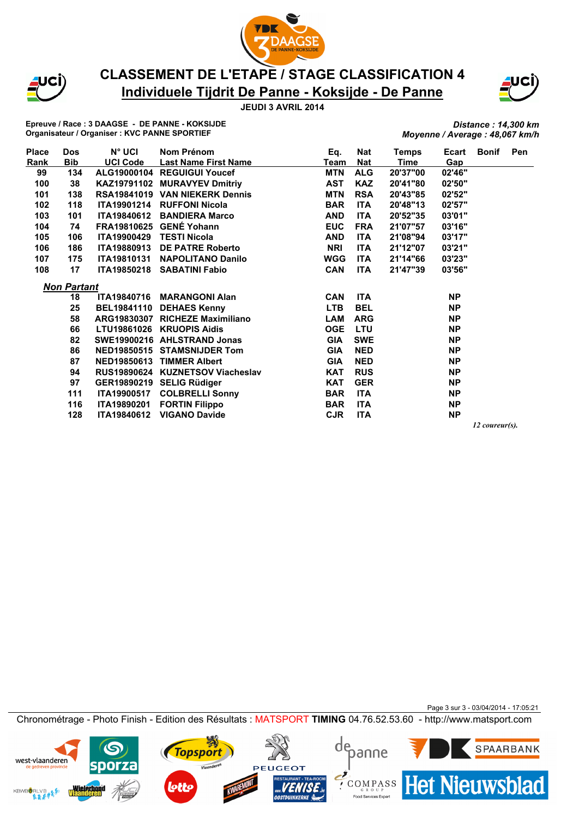



## **Individuele Tijdrit De Panne - Koksijde - De Panne CLASSEMENT DE L'ETAPE / STAGE CLASSIFICATION 4**



**Epreuve / Race : 3 DAAGSE - DE PANNE - KOKSIJDE Organisateur / Organiser : KVC PANNE SPORTIEF**

*Distance : 14,300 km Moyenne / Average : 48,067 km/h*

| <b>Place</b> | Dos                | $N^{\circ}$ UCI    | Nom Prénom                       | Eq.        | Nat        | Temps    | Ecart     | <b>Bonif</b> | <b>Pen</b> |
|--------------|--------------------|--------------------|----------------------------------|------------|------------|----------|-----------|--------------|------------|
| Rank         | <b>Bib</b>         | <b>UCI Code</b>    | <b>Last Name First Name</b>      | Team       | Nat        | Time     | Gap       |              |            |
| 99           | 134                |                    | ALG19000104 REGUIGUI Youcef      | <b>MTN</b> | <b>ALG</b> | 20'37"00 | 02'46"    |              |            |
| 100          | 38                 |                    | KAZ19791102 MURAVYEV Dmitriy     | <b>AST</b> | <b>KAZ</b> | 20'41"80 | 02'50"    |              |            |
| 101          | 138                |                    | RSA19841019 VAN NIEKERK Dennis   | <b>MTN</b> | <b>RSA</b> | 20'43"85 | 02'52"    |              |            |
| 102          | 118                | <b>ITA19901214</b> | <b>RUFFONI Nicola</b>            | <b>BAR</b> | <b>ITA</b> | 20'48"13 | 02'57"    |              |            |
| 103          | 101                | <b>ITA19840612</b> | <b>BANDIERA Marco</b>            | <b>AND</b> | <b>ITA</b> | 20'52"35 | 03'01"    |              |            |
| 104          | 74                 | FRA19810625        | <b>GENÉ Yohann</b>               | <b>EUC</b> | <b>FRA</b> | 21'07"57 | 03'16"    |              |            |
| 105          | 106                |                    | ITA19900429 TESTI Nicola         | <b>AND</b> | <b>ITA</b> | 21'08"94 | 03'17"    |              |            |
| 106          | 186                | <b>ITA19880913</b> | <b>DE PATRE Roberto</b>          | <b>NRI</b> | <b>ITA</b> | 21'12"07 | 03'21"    |              |            |
| 107          | 175                |                    | ITA19810131 NAPOLITANO Danilo    | <b>WGG</b> | <b>ITA</b> | 21'14"66 | 03'23"    |              |            |
| 108          | 17                 |                    | ITA19850218 SABATINI Fabio       | <b>CAN</b> | <b>ITA</b> | 21'47"39 | 03'56"    |              |            |
|              | <b>Non Partant</b> |                    |                                  |            |            |          |           |              |            |
|              | 18                 | <b>ITA19840716</b> | <b>MARANGONI Alan</b>            | <b>CAN</b> | <b>ITA</b> |          | <b>NP</b> |              |            |
|              | 25                 | <b>BEL19841110</b> | <b>DEHAES Kenny</b>              | <b>LTB</b> | <b>BEL</b> |          | <b>NP</b> |              |            |
|              | 58                 |                    | ARG19830307 RICHEZE Maximiliano  | LAM        | <b>ARG</b> |          | <b>NP</b> |              |            |
|              | 66                 |                    | LTU19861026 KRUOPIS Aidis        | <b>OGE</b> | <b>LTU</b> |          | <b>NP</b> |              |            |
|              | 82                 |                    | SWE19900216 AHLSTRAND Jonas      | <b>GIA</b> | <b>SWE</b> |          | <b>NP</b> |              |            |
|              | 86                 |                    | NED19850515 STAMSNIJDER Tom      | <b>GIA</b> | <b>NED</b> |          | <b>NP</b> |              |            |
|              | 87                 |                    | NED19850613 TIMMER Albert        | <b>GIA</b> | <b>NED</b> |          | <b>NP</b> |              |            |
|              | 94                 |                    | RUS19890624 KUZNETSOV Viacheslav | <b>KAT</b> | <b>RUS</b> |          | <b>NP</b> |              |            |
|              | 97                 |                    | GER19890219 SELIG Rüdiger        | <b>KAT</b> | <b>GER</b> |          | <b>NP</b> |              |            |
|              | 111                |                    | ITA19900517 COLBRELLI Sonny      | <b>BAR</b> | <b>ITA</b> |          | <b>NP</b> |              |            |
|              | 116                |                    | ITA19890201 FORTIN Filippo       | <b>BAR</b> | <b>ITA</b> |          | <b>NP</b> |              |            |
|              | 128                | <b>ITA19840612</b> | <b>VIGANO Davide</b>             | <b>CJR</b> | <b>ITA</b> |          | <b>NP</b> |              |            |
|              |                    |                    |                                  |            |            |          |           |              |            |

*12 coureur(s).*

Page 3 sur 3 - 03/04/2014 - 17:05:21 Chronométrage - Photo Finish - Edition des Résultats : MATSPORT **TIMING** 04.76.52.53.60 - http://www.matsport.com